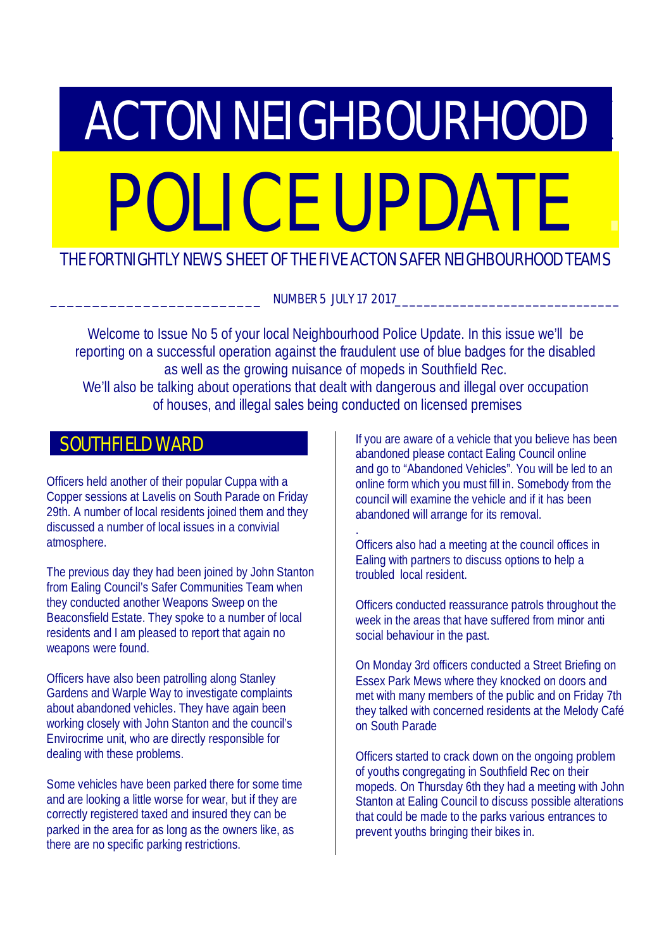# **ACTON NEIGHBOURHOOD** POLICE UPDATE

## THE FORTNIGHTLY NEWS SHEET OF THE FIVE ACTON SAFER NEIGHBOURHOOD TEAMS

NUMBER 5 JULY 17 2017

Welcome to Issue No 5 of your local Neighbourhood Police Update. In this issue we'll be reporting on a successful operation against the fraudulent use of blue badges for the disabled as well as the growing nuisance of mopeds in Southfield Rec. We'll also be talking about operations that dealt with dangerous and illegal over occupation of houses, and illegal sales being conducted on licensed premises

## SOUTHFIELD WARD

Officers held another of their popular Cuppa with a Copper sessions at Lavelis on South Parade on Friday 29th. A number of local residents joined them and they discussed a number of local issues in a convivial atmosphere.

The previous day they had been joined by John Stanton from Ealing Council's Safer Communities Team when they conducted another Weapons Sweep on the Beaconsfield Estate. They spoke to a number of local residents and I am pleased to report that again no weapons were found.

Officers have also been patrolling along Stanley Gardens and Warple Way to investigate complaints about abandoned vehicles. They have again been working closely with John Stanton and the council's Envirocrime unit, who are directly responsible for dealing with these problems.

Some vehicles have been parked there for some time and are looking a little worse for wear, but if they are correctly registered taxed and insured they can be parked in the area for as long as the owners like, as there are no specific parking restrictions.

If you are aware of a vehicle that you believe has been abandoned please contact Ealing Council online and go to "Abandoned Vehicles". You will be led to an online form which you must fill in. Somebody from the council will examine the vehicle and if it has been abandoned will arrange for its removal.

. Officers also had a meeting at the council offices in Ealing with partners to discuss options to help a troubled local resident.

Officers conducted reassurance patrols throughout the week in the areas that have suffered from minor anti social behaviour in the past.

On Monday 3rd officers conducted a Street Briefing on Essex Park Mews where they knocked on doors and met with many members of the public and on Friday 7th they talked with concerned residents at the Melody Café on South Parade

Officers started to crack down on the ongoing problem of youths congregating in Southfield Rec on their mopeds. On Thursday 6th they had a meeting with John Stanton at Ealing Council to discuss possible alterations that could be made to the parks various entrances to prevent youths bringing their bikes in.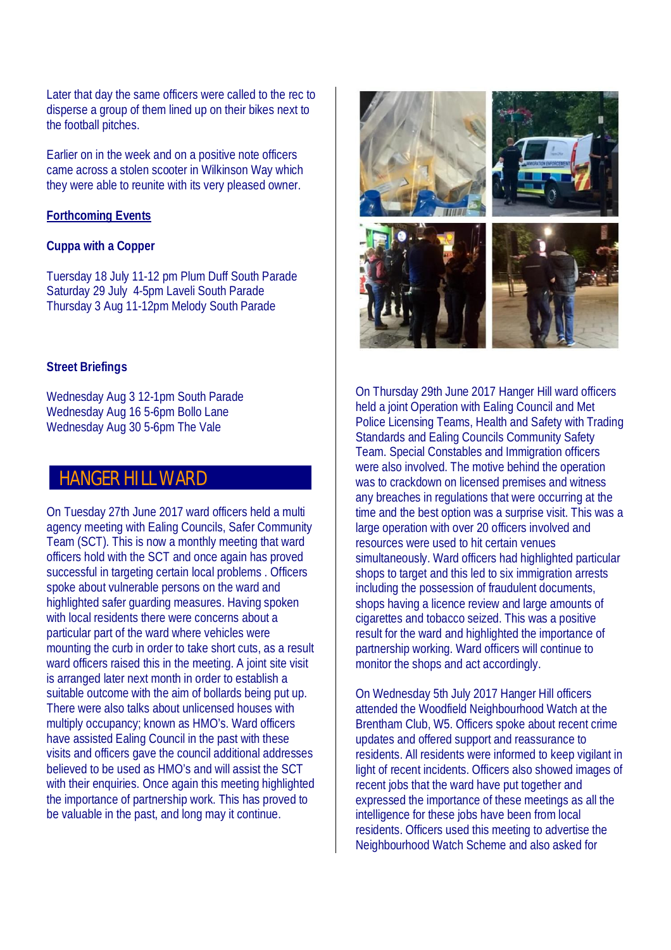Later that day the same officers were called to the rec to disperse a group of them lined up on their bikes next to the football pitches.

Earlier on in the week and on a positive note officers came across a stolen scooter in Wilkinson Way which they were able to reunite with its very pleased owner.

#### **Forthcoming Events**

#### **Cuppa with a Copper**

Tuersday 18 July 11-12 pm Plum Duff South Parade Saturday 29 July 4-5pm Laveli South Parade Thursday 3 Aug 11-12pm Melody South Parade

#### **Street Briefings**

Wednesday Aug 3 12-1pm South Parade Wednesday Aug 16 5-6pm Bollo Lane Wednesday Aug 30 5-6pm The Vale

# **HANGER HILL WARD**

On Tuesday 27th June 2017 ward officers held a multi agency meeting with Ealing Councils, Safer Community Team (SCT). This is now a monthly meeting that ward officers hold with the SCT and once again has proved successful in targeting certain local problems . Officers spoke about vulnerable persons on the ward and highlighted safer guarding measures. Having spoken with local residents there were concerns about a particular part of the ward where vehicles were mounting the curb in order to take short cuts, as a result ward officers raised this in the meeting. A joint site visit is arranged later next month in order to establish a suitable outcome with the aim of bollards being put up. There were also talks about unlicensed houses with multiply occupancy; known as HMO's. Ward officers have assisted Ealing Council in the past with these visits and officers gave the council additional addresses believed to be used as HMO's and will assist the SCT with their enquiries. Once again this meeting highlighted the importance of partnership work. This has proved to be valuable in the past, and long may it continue.



On Thursday 29th June 2017 Hanger Hill ward officers held a joint Operation with Ealing Council and Met Police Licensing Teams, Health and Safety with Trading Standards and Ealing Councils Community Safety Team. Special Constables and Immigration officers were also involved. The motive behind the operation was to crackdown on licensed premises and witness any breaches in regulations that were occurring at the time and the best option was a surprise visit. This was a large operation with over 20 officers involved and resources were used to hit certain venues simultaneously. Ward officers had highlighted particular shops to target and this led to six immigration arrests including the possession of fraudulent documents, shops having a licence review and large amounts of cigarettes and tobacco seized. This was a positive result for the ward and highlighted the importance of partnership working. Ward officers will continue to monitor the shops and act accordingly.

On Wednesday 5th July 2017 Hanger Hill officers attended the Woodfield Neighbourhood Watch at the Brentham Club, W5. Officers spoke about recent crime updates and offered support and reassurance to residents. All residents were informed to keep vigilant in light of recent incidents. Officers also showed images of recent jobs that the ward have put together and expressed the importance of these meetings as all the intelligence for these jobs have been from local residents. Officers used this meeting to advertise the Neighbourhood Watch Scheme and also asked for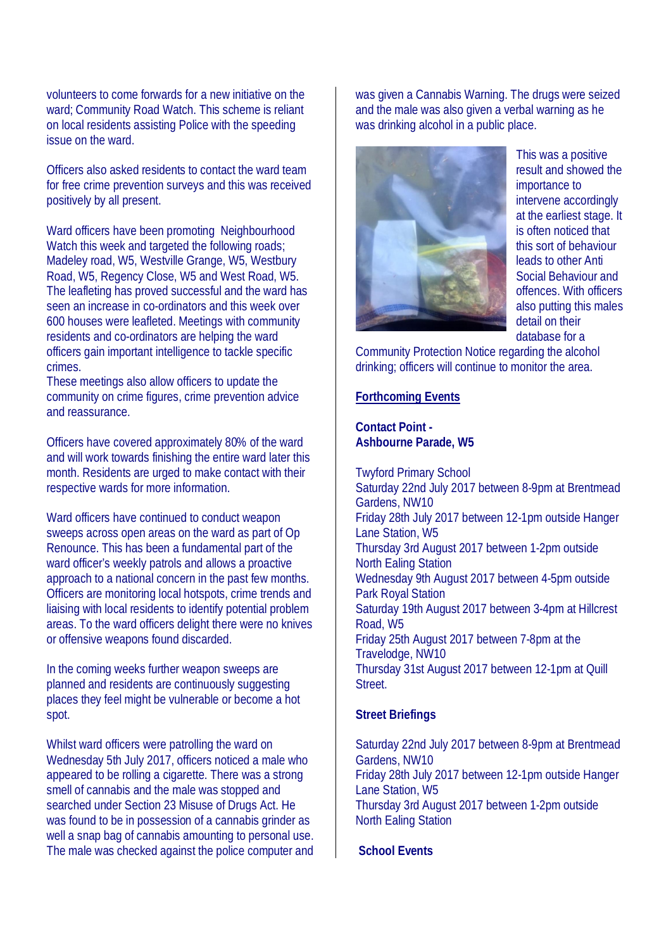volunteers to come forwards for a new initiative on the ward; Community Road Watch. This scheme is reliant on local residents assisting Police with the speeding issue on the ward.

Officers also asked residents to contact the ward team for free crime prevention surveys and this was received positively by all present.

Ward officers have been promoting Neighbourhood Watch this week and targeted the following roads; Madeley road, W5, Westville Grange, W5, Westbury Road, W5, Regency Close, W5 and West Road, W5. The leafleting has proved successful and the ward has seen an increase in co-ordinators and this week over 600 houses were leafleted. Meetings with community residents and co-ordinators are helping the ward officers gain important intelligence to tackle specific crimes.

These meetings also allow officers to update the community on crime figures, crime prevention advice and reassurance.

Officers have covered approximately 80% of the ward and will work towards finishing the entire ward later this month. Residents are urged to make contact with their respective wards for more information.

Ward officers have continued to conduct weapon sweeps across open areas on the ward as part of Op Renounce. This has been a fundamental part of the ward officer's weekly patrols and allows a proactive approach to a national concern in the past few months. Officers are monitoring local hotspots, crime trends and liaising with local residents to identify potential problem areas. To the ward officers delight there were no knives or offensive weapons found discarded.

In the coming weeks further weapon sweeps are planned and residents are continuously suggesting places they feel might be vulnerable or become a hot spot.

Whilst ward officers were patrolling the ward on Wednesday 5th July 2017, officers noticed a male who appeared to be rolling a cigarette. There was a strong smell of cannabis and the male was stopped and searched under Section 23 Misuse of Drugs Act. He was found to be in possession of a cannabis grinder as well a snap bag of cannabis amounting to personal use. The male was checked against the police computer and was given a Cannabis Warning. The drugs were seized and the male was also given a verbal warning as he was drinking alcohol in a public place.



This was a positive result and showed the importance to intervene accordingly at the earliest stage. It is often noticed that this sort of behaviour leads to other Anti Social Behaviour and offences. With officers also putting this males detail on their database for a

Community Protection Notice regarding the alcohol drinking; officers will continue to monitor the area.

#### **Forthcoming Events**

#### **Contact Point - Ashbourne Parade, W5**

Twyford Primary School Saturday 22nd July 2017 between 8-9pm at Brentmead Gardens, NW10 Friday 28th July 2017 between 12-1pm outside Hanger Lane Station, W5 Thursday 3rd August 2017 between 1-2pm outside North Ealing Station Wednesday 9th August 2017 between 4-5pm outside Park Royal Station Saturday 19th August 2017 between 3-4pm at Hillcrest Road, W5 Friday 25th August 2017 between 7-8pm at the Travelodge, NW10 Thursday 31st August 2017 between 12-1pm at Quill Street.

#### **Street Briefings**

Saturday 22nd July 2017 between 8-9pm at Brentmead Gardens, NW10 Friday 28th July 2017 between 12-1pm outside Hanger Lane Station, W5 Thursday 3rd August 2017 between 1-2pm outside North Ealing Station

#### **School Events**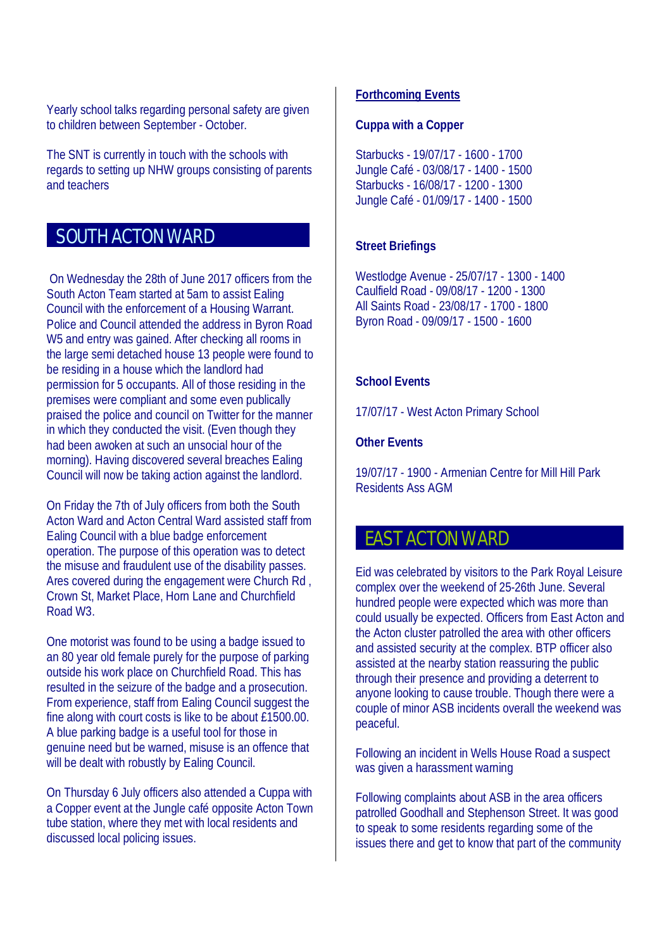Yearly school talks regarding personal safety are given to children between September - October.

The SNT is currently in touch with the schools with regards to setting up NHW groups consisting of parents and teachers

# SOUTH ACTON WARD

 On Wednesday the 28th of June 2017 officers from the South Acton Team started at 5am to assist Ealing Council with the enforcement of a Housing Warrant. Police and Council attended the address in Byron Road W5 and entry was gained. After checking all rooms in the large semi detached house 13 people were found to be residing in a house which the landlord had permission for 5 occupants. All of those residing in the premises were compliant and some even publically praised the police and council on Twitter for the manner in which they conducted the visit. (Even though they had been awoken at such an unsocial hour of the morning). Having discovered several breaches Ealing Council will now be taking action against the landlord.

On Friday the 7th of July officers from both the South Acton Ward and Acton Central Ward assisted staff from Ealing Council with a blue badge enforcement operation. The purpose of this operation was to detect the misuse and fraudulent use of the disability passes. Ares covered during the engagement were Church Rd , Crown St, Market Place, Horn Lane and Churchfield Road W3.

One motorist was found to be using a badge issued to an 80 year old female purely for the purpose of parking outside his work place on Churchfield Road. This has resulted in the seizure of the badge and a prosecution. From experience, staff from Ealing Council suggest the fine along with court costs is like to be about £1500.00. A blue parking badge is a useful tool for those in genuine need but be warned, misuse is an offence that will be dealt with robustly by Ealing Council.

On Thursday 6 July officers also attended a Cuppa with a Copper event at the Jungle café opposite Acton Town tube station, where they met with local residents and discussed local policing issues.

#### **Forthcoming Events**

#### **Cuppa with a Copper**

Starbucks - 19/07/17 - 1600 - 1700 Jungle Café - 03/08/17 - 1400 - 1500 Starbucks - 16/08/17 - 1200 - 1300 Jungle Café - 01/09/17 - 1400 - 1500

#### **Street Briefings**

Westlodge Avenue - 25/07/17 - 1300 - 1400 Caulfield Road - 09/08/17 - 1200 - 1300 All Saints Road - 23/08/17 - 1700 - 1800 Byron Road - 09/09/17 - 1500 - 1600

#### **School Events**

17/07/17 - West Acton Primary School

#### **Other Events**

19/07/17 - 1900 - Armenian Centre for Mill Hill Park Residents Ass AGM

## EAST ACTON WARD

Eid was celebrated by visitors to the Park Royal Leisure complex over the weekend of 25-26th June. Several hundred people were expected which was more than could usually be expected. Officers from East Acton and the Acton cluster patrolled the area with other officers and assisted security at the complex. BTP officer also assisted at the nearby station reassuring the public through their presence and providing a deterrent to anyone looking to cause trouble. Though there were a couple of minor ASB incidents overall the weekend was peaceful.

Following an incident in Wells House Road a suspect was given a harassment warning

Following complaints about ASB in the area officers patrolled Goodhall and Stephenson Street. It was good to speak to some residents regarding some of the issues there and get to know that part of the community